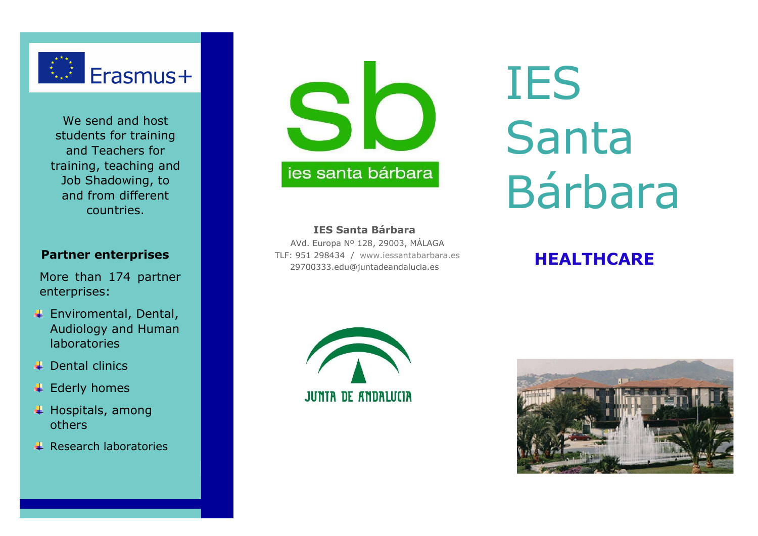

We send and host students for training and Teachers for training, teaching and Job Shadowing, to and from different countries.

### Partner enterprises

More than 174 partner enterprises:

- Enviromental, Dental, Audiology and Human laboratories
- $\perp$  Dental clinics
- **↓** Ederly homes
- $\overline{\phantom{a}}$  Hospitals, among others
- $\overline{\phantom{a}}$  Research laboratories



# IES Santa Bárbara

#### IES Santa Bárbara

 AVd. Europa Nº 128, 29003, MÁLAGA TLF: 951 298434 / www.iessantabarbara.es 29700333.edu@juntadeandalucia.es

# HEALTHCARE